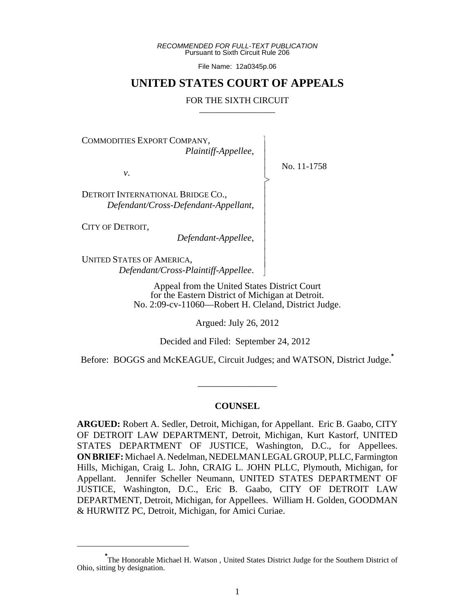*RECOMMENDED FOR FULL-TEXT PUBLICATION* Pursuant to Sixth Circuit Rule 206

File Name: 12a0345p.06

## **UNITED STATES COURT OF APPEALS**

#### FOR THE SIXTH CIRCUIT

 $\overline{\phantom{a}}$ - - - > , - - - - - - - - - N

COMMODITIES EXPORT COMPANY, *Plaintiff-Appellee*,

*v*.

No. 11-1758

DETROIT INTERNATIONAL BRIDGE CO., *Defendant/Cross-Defendant-Appellant*,

CITY OF DETROIT,

*Defendant-Appellee*,

UNITED STATES OF AMERICA, *Defendant/Cross-Plaintiff-Appellee*.

> Appeal from the United States District Court for the Eastern District of Michigan at Detroit. No. 2:09-cv-11060—Robert H. Cleland, District Judge.

> > Argued: July 26, 2012

Decided and Filed: September 24, 2012

Before: BOGGS and McKEAGUE, Circuit Judges; and WATSON, District Judge.**\***

#### **COUNSEL**

\_\_\_\_\_\_\_\_\_\_\_\_\_\_\_\_\_

**ARGUED:** Robert A. Sedler, Detroit, Michigan, for Appellant. Eric B. Gaabo, CITY OF DETROIT LAW DEPARTMENT, Detroit, Michigan, Kurt Kastorf, UNITED STATES DEPARTMENT OF JUSTICE, Washington, D.C., for Appellees. **ON BRIEF:** Michael A. Nedelman, NEDELMAN LEGAL GROUP, PLLC, Farmington Hills, Michigan, Craig L. John, CRAIG L. JOHN PLLC, Plymouth, Michigan, for Appellant. Jennifer Scheller Neumann, UNITED STATES DEPARTMENT OF JUSTICE, Washington, D.C., Eric B. Gaabo, CITY OF DETROIT LAW DEPARTMENT, Detroit, Michigan, for Appellees. William H. Golden, GOODMAN & HURWITZ PC, Detroit, Michigan, for Amici Curiae.

<sup>\*&</sup>lt;br>The Honorable Michael H. Watson, United States District Judge for the Southern District of Ohio, sitting by designation.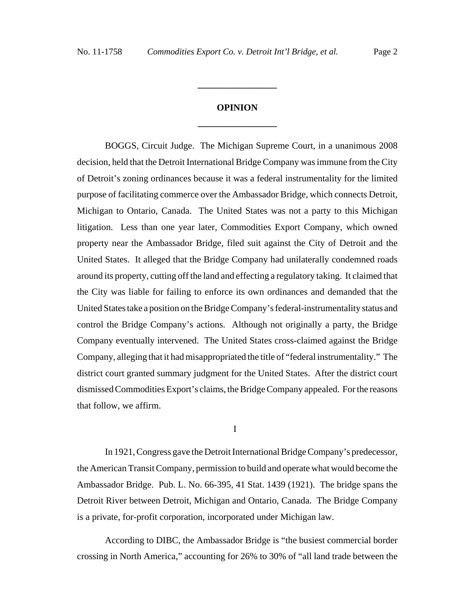# **OPINION \_\_\_\_\_\_\_\_\_\_\_\_\_\_\_\_\_**

**\_\_\_\_\_\_\_\_\_\_\_\_\_\_\_\_\_**

BOGGS, Circuit Judge. The Michigan Supreme Court, in a unanimous 2008 decision, held that the Detroit International Bridge Company was immune from the City of Detroit's zoning ordinances because it was a federal instrumentality for the limited purpose of facilitating commerce over the Ambassador Bridge, which connects Detroit, Michigan to Ontario, Canada. The United States was not a party to this Michigan litigation. Less than one year later, Commodities Export Company, which owned property near the Ambassador Bridge, filed suit against the City of Detroit and the United States. It alleged that the Bridge Company had unilaterally condemned roads around its property, cutting off the land and effecting a regulatory taking. It claimed that the City was liable for failing to enforce its own ordinances and demanded that the United States take a position on the Bridge Company's federal-instrumentality status and control the Bridge Company's actions. Although not originally a party, the Bridge Company eventually intervened. The United States cross-claimed against the Bridge Company, alleging that it had misappropriated the title of "federal instrumentality." The district court granted summary judgment for the United States. After the district court dismissed Commodities Export's claims, the Bridge Company appealed. For the reasons that follow, we affirm.

I

In 1921, Congress gave the Detroit International Bridge Company's predecessor, the American Transit Company, permission to build and operate what would become the Ambassador Bridge. Pub. L. No. 66-395, 41 Stat. 1439 (1921). The bridge spans the Detroit River between Detroit, Michigan and Ontario, Canada. The Bridge Company is a private, for-profit corporation, incorporated under Michigan law.

According to DIBC, the Ambassador Bridge is "the busiest commercial border crossing in North America," accounting for 26% to 30% of "all land trade between the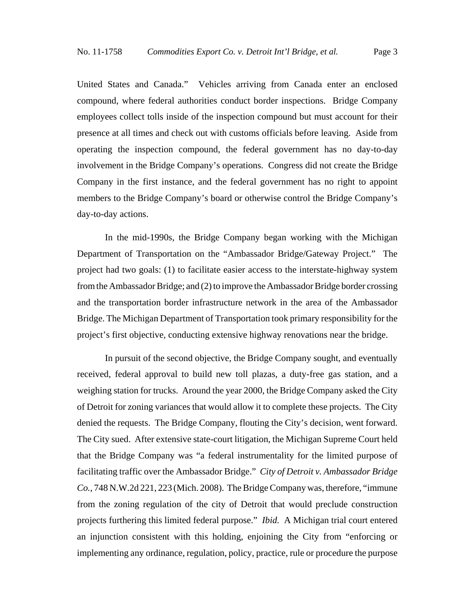United States and Canada." Vehicles arriving from Canada enter an enclosed compound, where federal authorities conduct border inspections. Bridge Company employees collect tolls inside of the inspection compound but must account for their presence at all times and check out with customs officials before leaving. Aside from operating the inspection compound, the federal government has no day-to-day involvement in the Bridge Company's operations. Congress did not create the Bridge Company in the first instance, and the federal government has no right to appoint members to the Bridge Company's board or otherwise control the Bridge Company's day-to-day actions.

In the mid-1990s, the Bridge Company began working with the Michigan Department of Transportation on the "Ambassador Bridge/Gateway Project." The project had two goals: (1) to facilitate easier access to the interstate-highway system from the Ambassador Bridge; and (2) to improve the Ambassador Bridge border crossing and the transportation border infrastructure network in the area of the Ambassador Bridge. The Michigan Department of Transportation took primary responsibility for the project's first objective, conducting extensive highway renovations near the bridge.

In pursuit of the second objective, the Bridge Company sought, and eventually received, federal approval to build new toll plazas, a duty-free gas station, and a weighing station for trucks. Around the year 2000, the Bridge Company asked the City of Detroit for zoning variances that would allow it to complete these projects. The City denied the requests. The Bridge Company, flouting the City's decision, went forward. The City sued. After extensive state-court litigation, the Michigan Supreme Court held that the Bridge Company was "a federal instrumentality for the limited purpose of facilitating traffic over the Ambassador Bridge." *City of Detroit v. Ambassador Bridge Co.*, 748 N.W.2d 221, 223 (Mich. 2008). The Bridge Company was, therefore, "immune from the zoning regulation of the city of Detroit that would preclude construction projects furthering this limited federal purpose." *Ibid.* A Michigan trial court entered an injunction consistent with this holding, enjoining the City from "enforcing or implementing any ordinance, regulation, policy, practice, rule or procedure the purpose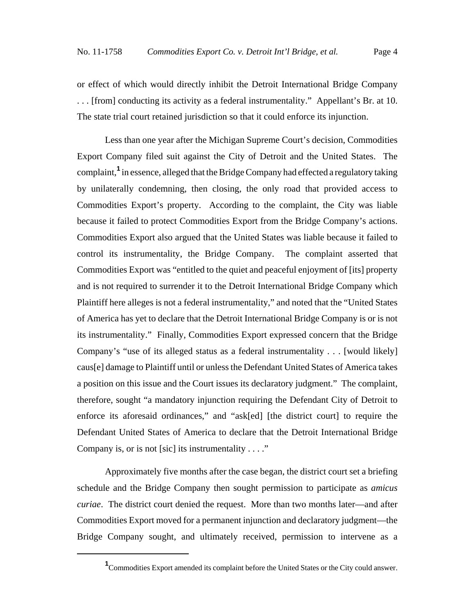or effect of which would directly inhibit the Detroit International Bridge Company . . . [from] conducting its activity as a federal instrumentality." Appellant's Br. at 10. The state trial court retained jurisdiction so that it could enforce its injunction.

Less than one year after the Michigan Supreme Court's decision, Commodities Export Company filed suit against the City of Detroit and the United States. The complaint,**<sup>1</sup>** in essence, alleged that the Bridge Company had effected a regulatory taking by unilaterally condemning, then closing, the only road that provided access to Commodities Export's property. According to the complaint, the City was liable because it failed to protect Commodities Export from the Bridge Company's actions. Commodities Export also argued that the United States was liable because it failed to control its instrumentality, the Bridge Company. The complaint asserted that Commodities Export was "entitled to the quiet and peaceful enjoyment of [its] property and is not required to surrender it to the Detroit International Bridge Company which Plaintiff here alleges is not a federal instrumentality," and noted that the "United States of America has yet to declare that the Detroit International Bridge Company is or is not its instrumentality." Finally, Commodities Export expressed concern that the Bridge Company's "use of its alleged status as a federal instrumentality . . . [would likely] caus[e] damage to Plaintiff until or unless the Defendant United States of America takes a position on this issue and the Court issues its declaratory judgment." The complaint, therefore, sought "a mandatory injunction requiring the Defendant City of Detroit to enforce its aforesaid ordinances," and "ask[ed] [the district court] to require the Defendant United States of America to declare that the Detroit International Bridge Company is, or is not [sic] its instrumentality . . . ."

Approximately five months after the case began, the district court set a briefing schedule and the Bridge Company then sought permission to participate as *amicus curiae*. The district court denied the request. More than two months later—and after Commodities Export moved for a permanent injunction and declaratory judgment—the Bridge Company sought, and ultimately received, permission to intervene as a

<sup>&</sup>lt;sup>1</sup> Commodities Export amended its complaint before the United States or the City could answer.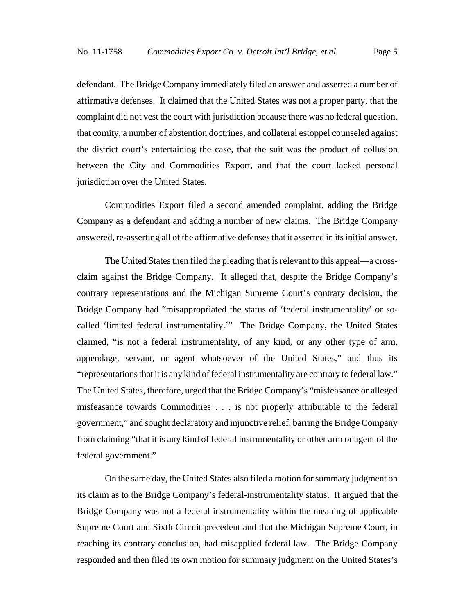defendant. The Bridge Company immediately filed an answer and asserted a number of affirmative defenses. It claimed that the United States was not a proper party, that the complaint did not vest the court with jurisdiction because there was no federal question, that comity, a number of abstention doctrines, and collateral estoppel counseled against the district court's entertaining the case, that the suit was the product of collusion between the City and Commodities Export, and that the court lacked personal jurisdiction over the United States.

Commodities Export filed a second amended complaint, adding the Bridge Company as a defendant and adding a number of new claims. The Bridge Company answered, re-asserting all of the affirmative defenses that it asserted in its initial answer.

The United States then filed the pleading that is relevant to this appeal—a crossclaim against the Bridge Company. It alleged that, despite the Bridge Company's contrary representations and the Michigan Supreme Court's contrary decision, the Bridge Company had "misappropriated the status of 'federal instrumentality' or socalled 'limited federal instrumentality.'" The Bridge Company, the United States claimed, "is not a federal instrumentality, of any kind, or any other type of arm, appendage, servant, or agent whatsoever of the United States," and thus its "representations that it is any kind of federal instrumentality are contrary to federal law." The United States, therefore, urged that the Bridge Company's "misfeasance or alleged misfeasance towards Commodities . . . is not properly attributable to the federal government," and sought declaratory and injunctive relief, barring the Bridge Company from claiming "that it is any kind of federal instrumentality or other arm or agent of the federal government."

On the same day, the United States also filed a motion for summary judgment on its claim as to the Bridge Company's federal-instrumentality status. It argued that the Bridge Company was not a federal instrumentality within the meaning of applicable Supreme Court and Sixth Circuit precedent and that the Michigan Supreme Court, in reaching its contrary conclusion, had misapplied federal law. The Bridge Company responded and then filed its own motion for summary judgment on the United States's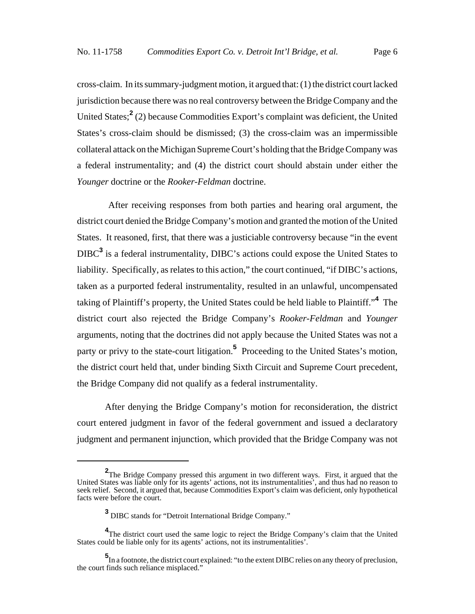cross-claim. In its summary-judgment motion, it argued that: (1) the district court lacked jurisdiction because there was no real controversy between the Bridge Company and the United States;<sup>2</sup> (2) because Commodities Export's complaint was deficient, the United States's cross-claim should be dismissed; (3) the cross-claim was an impermissible collateral attack on the Michigan Supreme Court's holding that the Bridge Company was a federal instrumentality; and (4) the district court should abstain under either the *Younger* doctrine or the *Rooker-Feldman* doctrine.

 After receiving responses from both parties and hearing oral argument, the district court denied the Bridge Company's motion and granted the motion of the United States. It reasoned, first, that there was a justiciable controversy because "in the event DIBC**<sup>3</sup>** is a federal instrumentality, DIBC's actions could expose the United States to liability. Specifically, as relates to this action," the court continued, "if DIBC's actions, taken as a purported federal instrumentality, resulted in an unlawful, uncompensated taking of Plaintiff's property, the United States could be held liable to Plaintiff."**<sup>4</sup>** The district court also rejected the Bridge Company's *Rooker-Feldman* and *Younger* arguments, noting that the doctrines did not apply because the United States was not a party or privy to the state-court litigation.<sup>5</sup> Proceeding to the United States's motion, the district court held that, under binding Sixth Circuit and Supreme Court precedent, the Bridge Company did not qualify as a federal instrumentality.

After denying the Bridge Company's motion for reconsideration, the district court entered judgment in favor of the federal government and issued a declaratory judgment and permanent injunction, which provided that the Bridge Company was not

**<sup>2</sup>**The Bridge Company pressed this argument in two different ways. First, it argued that the United States was liable only for its agents' actions, not its instrumentalities', and thus had no reason to seek relief. Second, it argued that, because Commodities Export's claim was deficient, only hypothetical facts were before the court.

**<sup>3</sup>** DIBC stands for "Detroit International Bridge Company."

<sup>&</sup>lt;sup>4</sup>The district court used the same logic to reject the Bridge Company's claim that the United States could be liable only for its agents' actions, not its instrumentalities'.

**<sup>5</sup>**<br>In a footnote, the district court explained: "to the extent DIBC relies on any theory of preclusion, the court finds such reliance misplaced."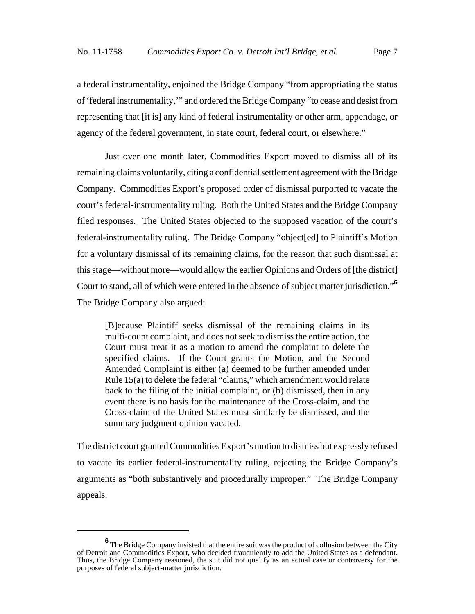a federal instrumentality, enjoined the Bridge Company "from appropriating the status of 'federal instrumentality,'" and ordered the Bridge Company "to cease and desist from representing that [it is] any kind of federal instrumentality or other arm, appendage, or agency of the federal government, in state court, federal court, or elsewhere."

Just over one month later, Commodities Export moved to dismiss all of its remaining claims voluntarily, citing a confidential settlement agreement with the Bridge Company. Commodities Export's proposed order of dismissal purported to vacate the court's federal-instrumentality ruling. Both the United States and the Bridge Company filed responses. The United States objected to the supposed vacation of the court's federal-instrumentality ruling. The Bridge Company "object[ed] to Plaintiff's Motion for a voluntary dismissal of its remaining claims, for the reason that such dismissal at this stage—without more—would allow the earlier Opinions and Orders of [the district] Court to stand, all of which were entered in the absence of subject matter jurisdiction."**<sup>6</sup>** The Bridge Company also argued:

[B]ecause Plaintiff seeks dismissal of the remaining claims in its multi-count complaint, and does not seek to dismiss the entire action, the Court must treat it as a motion to amend the complaint to delete the specified claims. If the Court grants the Motion, and the Second Amended Complaint is either (a) deemed to be further amended under Rule 15(a) to delete the federal "claims," which amendment would relate back to the filing of the initial complaint, or (b) dismissed, then in any event there is no basis for the maintenance of the Cross-claim, and the Cross-claim of the United States must similarly be dismissed, and the summary judgment opinion vacated.

The district court granted Commodities Export's motion to dismiss but expressly refused to vacate its earlier federal-instrumentality ruling, rejecting the Bridge Company's arguments as "both substantively and procedurally improper." The Bridge Company appeals.

**<sup>6</sup>** The Bridge Company insisted that the entire suit was the product of collusion between the City of Detroit and Commodities Export, who decided fraudulently to add the United States as a defendant. Thus, the Bridge Company reasoned, the suit did not qualify as an actual case or controversy for the purposes of federal subject-matter jurisdiction.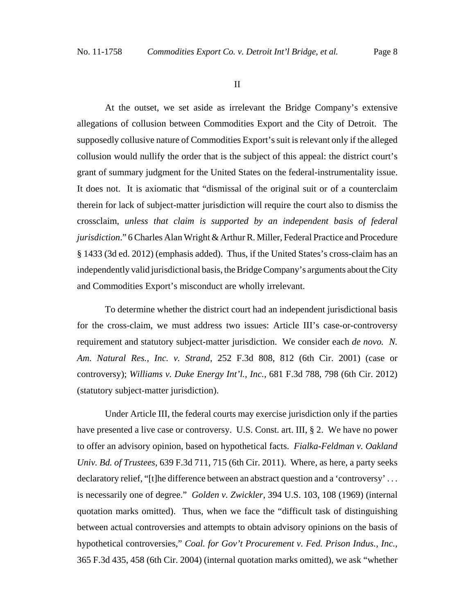#### II

At the outset, we set aside as irrelevant the Bridge Company's extensive allegations of collusion between Commodities Export and the City of Detroit. The supposedly collusive nature of Commodities Export's suit is relevant only if the alleged collusion would nullify the order that is the subject of this appeal: the district court's grant of summary judgment for the United States on the federal-instrumentality issue. It does not. It is axiomatic that "dismissal of the original suit or of a counterclaim therein for lack of subject-matter jurisdiction will require the court also to dismiss the crossclaim, *unless that claim is supported by an independent basis of federal jurisdiction*." 6 Charles Alan Wright & Arthur R. Miller, Federal Practice and Procedure § 1433 (3d ed. 2012) (emphasis added). Thus, if the United States's cross-claim has an independently valid jurisdictional basis, the Bridge Company's arguments about the City and Commodities Export's misconduct are wholly irrelevant.

To determine whether the district court had an independent jurisdictional basis for the cross-claim, we must address two issues: Article III's case-or-controversy requirement and statutory subject-matter jurisdiction. We consider each *de novo. N. Am. Natural Res., Inc. v. Strand*, 252 F.3d 808, 812 (6th Cir. 2001) (case or controversy); *Williams v. Duke Energy Int'l., Inc.*, 681 F.3d 788, 798 (6th Cir. 2012) (statutory subject-matter jurisdiction).

Under Article III, the federal courts may exercise jurisdiction only if the parties have presented a live case or controversy. U.S. Const. art. III, § 2. We have no power to offer an advisory opinion, based on hypothetical facts. *Fialka-Feldman v. Oakland Univ. Bd. of Trustees*, 639 F.3d 711, 715 (6th Cir. 2011). Where, as here, a party seeks declaratory relief, "[t]he difference between an abstract question and a 'controversy'... is necessarily one of degree." *Golden v. Zwickler*, 394 U.S. 103, 108 (1969) (internal quotation marks omitted). Thus, when we face the "difficult task of distinguishing between actual controversies and attempts to obtain advisory opinions on the basis of hypothetical controversies," *Coal. for Gov't Procurement v. Fed. Prison Indus., Inc.*, 365 F.3d 435, 458 (6th Cir. 2004) (internal quotation marks omitted), we ask "whether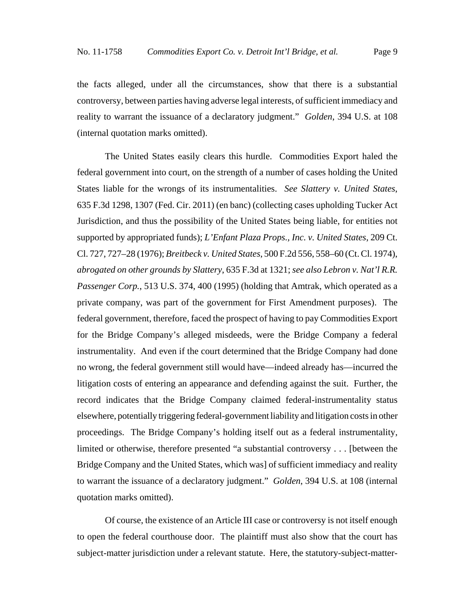the facts alleged, under all the circumstances, show that there is a substantial controversy, between parties having adverse legal interests, of sufficient immediacy and reality to warrant the issuance of a declaratory judgment." *Golden*, 394 U.S. at 108 (internal quotation marks omitted).

The United States easily clears this hurdle. Commodities Export haled the federal government into court, on the strength of a number of cases holding the United States liable for the wrongs of its instrumentalities. *See Slattery v. United States*, 635 F.3d 1298, 1307 (Fed. Cir. 2011) (en banc) (collecting cases upholding Tucker Act Jurisdiction, and thus the possibility of the United States being liable, for entities not supported by appropriated funds); *L'Enfant Plaza Props., Inc. v. United States*, 209 Ct. Cl. 727, 727–28 (1976); *Breitbeck v. United States*, 500 F.2d 556, 558–60 (Ct. Cl. 1974), *abrogated on other grounds by Slattery*, 635 F.3d at 1321; *see also Lebron v. Nat'l R.R. Passenger Corp.*, 513 U.S. 374, 400 (1995) (holding that Amtrak, which operated as a private company, was part of the government for First Amendment purposes). The federal government, therefore, faced the prospect of having to pay Commodities Export for the Bridge Company's alleged misdeeds, were the Bridge Company a federal instrumentality. And even if the court determined that the Bridge Company had done no wrong, the federal government still would have—indeed already has—incurred the litigation costs of entering an appearance and defending against the suit. Further, the record indicates that the Bridge Company claimed federal-instrumentality status elsewhere, potentially triggering federal-government liability and litigation costs in other proceedings. The Bridge Company's holding itself out as a federal instrumentality, limited or otherwise, therefore presented "a substantial controversy . . . [between the Bridge Company and the United States, which was] of sufficient immediacy and reality to warrant the issuance of a declaratory judgment." *Golden*, 394 U.S. at 108 (internal quotation marks omitted).

Of course, the existence of an Article III case or controversy is not itself enough to open the federal courthouse door. The plaintiff must also show that the court has subject-matter jurisdiction under a relevant statute. Here, the statutory-subject-matter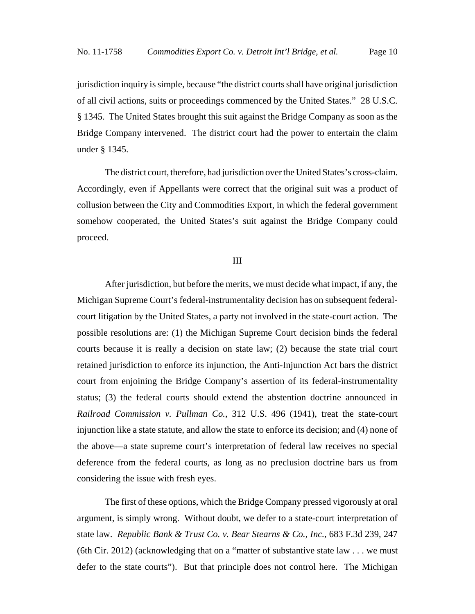jurisdiction inquiry is simple, because "the district courts shall have original jurisdiction of all civil actions, suits or proceedings commenced by the United States." 28 U.S.C. § 1345. The United States brought this suit against the Bridge Company as soon as the Bridge Company intervened. The district court had the power to entertain the claim under § 1345.

The district court, therefore, had jurisdiction over the United States's cross-claim. Accordingly, even if Appellants were correct that the original suit was a product of collusion between the City and Commodities Export, in which the federal government somehow cooperated, the United States's suit against the Bridge Company could proceed.

### III

After jurisdiction, but before the merits, we must decide what impact, if any, the Michigan Supreme Court's federal-instrumentality decision has on subsequent federalcourt litigation by the United States, a party not involved in the state-court action. The possible resolutions are: (1) the Michigan Supreme Court decision binds the federal courts because it is really a decision on state law; (2) because the state trial court retained jurisdiction to enforce its injunction, the Anti-Injunction Act bars the district court from enjoining the Bridge Company's assertion of its federal-instrumentality status; (3) the federal courts should extend the abstention doctrine announced in *Railroad Commission v. Pullman Co.*, 312 U.S. 496 (1941), treat the state-court injunction like a state statute, and allow the state to enforce its decision; and (4) none of the above—a state supreme court's interpretation of federal law receives no special deference from the federal courts, as long as no preclusion doctrine bars us from considering the issue with fresh eyes.

The first of these options, which the Bridge Company pressed vigorously at oral argument, is simply wrong. Without doubt, we defer to a state-court interpretation of state law. *Republic Bank & Trust Co. v. Bear Stearns & Co., Inc.*, 683 F.3d 239, 247 (6th Cir. 2012) (acknowledging that on a "matter of substantive state law  $\dots$  we must defer to the state courts"). But that principle does not control here. The Michigan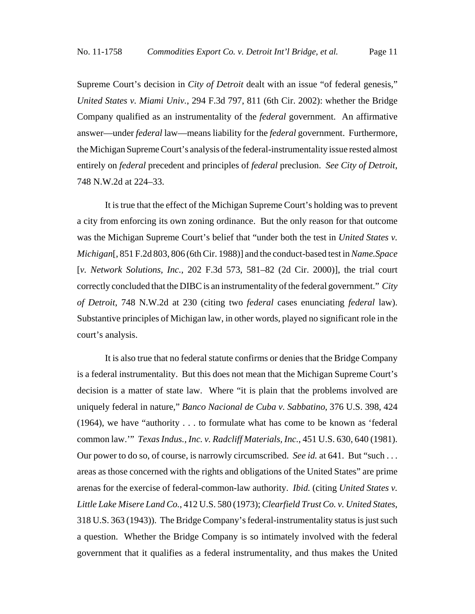Supreme Court's decision in *City of Detroit* dealt with an issue "of federal genesis," *United States v. Miami Univ.*, 294 F.3d 797, 811 (6th Cir. 2002): whether the Bridge Company qualified as an instrumentality of the *federal* government. An affirmative answer—under *federal* law—means liability for the *federal* government. Furthermore, the Michigan Supreme Court's analysis of the federal-instrumentality issue rested almost entirely on *federal* precedent and principles of *federal* preclusion. *See City of Detroit*, 748 N.W.2d at 224–33.

It is true that the effect of the Michigan Supreme Court's holding was to prevent a city from enforcing its own zoning ordinance. But the only reason for that outcome was the Michigan Supreme Court's belief that "under both the test in *United States v. Michigan*[, 851 F.2d 803, 806 (6th Cir. 1988)] and the conduct-based test in *Name.Space* [*v. Network Solutions, Inc.*, 202 F.3d 573, 581–82 (2d Cir. 2000)], the trial court correctly concluded that the DIBC is an instrumentality of the federal government." *City of Detroit*, 748 N.W.2d at 230 (citing two *federal* cases enunciating *federal* law). Substantive principles of Michigan law, in other words, played no significant role in the court's analysis.

It is also true that no federal statute confirms or denies that the Bridge Company is a federal instrumentality. But this does not mean that the Michigan Supreme Court's decision is a matter of state law. Where "it is plain that the problems involved are uniquely federal in nature," *Banco Nacional de Cuba v. Sabbatino*, 376 U.S. 398, 424 (1964), we have "authority . . . to formulate what has come to be known as 'federal common law.'" *Texas Indus., Inc. v. Radcliff Materials, Inc.*, 451 U.S. 630, 640 (1981). Our power to do so, of course, is narrowly circumscribed. *See id.* at 641. But "such ... areas as those concerned with the rights and obligations of the United States" are prime arenas for the exercise of federal-common-law authority. *Ibid.* (citing *United States v. Little Lake Misere Land Co.*, 412 U.S. 580 (1973); *Clearfield Trust Co. v. United States*, 318 U.S. 363 (1943)). The Bridge Company's federal-instrumentality status is just such a question. Whether the Bridge Company is so intimately involved with the federal government that it qualifies as a federal instrumentality, and thus makes the United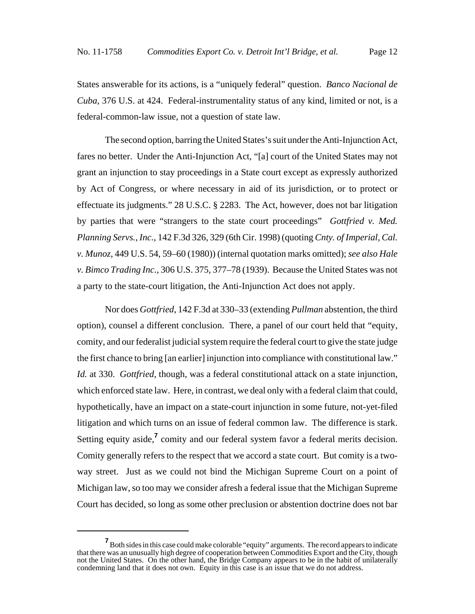States answerable for its actions, is a "uniquely federal" question. *Banco Nacional de Cuba*, 376 U.S. at 424. Federal-instrumentality status of any kind, limited or not, is a federal-common-law issue, not a question of state law.

The second option, barring the United States's suit under the Anti-Injunction Act, fares no better. Under the Anti-Injunction Act, "[a] court of the United States may not grant an injunction to stay proceedings in a State court except as expressly authorized by Act of Congress, or where necessary in aid of its jurisdiction, or to protect or effectuate its judgments." 28 U.S.C. § 2283. The Act, however, does not bar litigation by parties that were "strangers to the state court proceedings" *Gottfried v. Med. Planning Servs., Inc.*, 142 F.3d 326, 329 (6th Cir. 1998) (quoting *Cnty. of Imperial, Cal. v. Munoz*, 449 U.S. 54, 59–60 (1980)) (internal quotation marks omitted); *see also Hale v. Bimco Trading Inc.,* 306 U.S. 375, 377–78 (1939). Because the United States was not a party to the state-court litigation, the Anti-Injunction Act does not apply.

Nor does *Gottfried*, 142 F.3d at 330–33 (extending *Pullman* abstention, the third option), counsel a different conclusion. There, a panel of our court held that "equity, comity, and our federalist judicial system require the federal court to give the state judge the first chance to bring [an earlier] injunction into compliance with constitutional law." *Id.* at 330. *Gottfried*, though, was a federal constitutional attack on a state injunction, which enforced state law. Here, in contrast, we deal only with a federal claim that could, hypothetically, have an impact on a state-court injunction in some future, not-yet-filed litigation and which turns on an issue of federal common law. The difference is stark. Setting equity aside,<sup>7</sup> comity and our federal system favor a federal merits decision. Comity generally refers to the respect that we accord a state court. But comity is a twoway street. Just as we could not bind the Michigan Supreme Court on a point of Michigan law, so too may we consider afresh a federal issue that the Michigan Supreme Court has decided, so long as some other preclusion or abstention doctrine does not bar

**<sup>7</sup>** Both sides in this case could make colorable "equity" arguments. The record appears to indicate that there was an unusually high degree of cooperation between Commodities Export and the City, though not the United States. On the other hand, the Bridge Company appears to be in the habit of unilaterally condemning land that it does not own. Equity in this case is an issue that we do not address.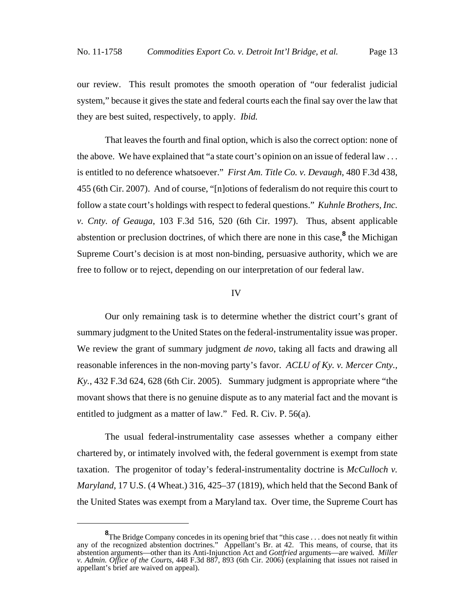our review. This result promotes the smooth operation of "our federalist judicial system," because it gives the state and federal courts each the final say over the law that they are best suited, respectively, to apply. *Ibid.*

That leaves the fourth and final option, which is also the correct option: none of the above. We have explained that "a state court's opinion on an issue of federal law . . . is entitled to no deference whatsoever." *First Am. Title Co. v. Devaugh*, 480 F.3d 438, 455 (6th Cir. 2007). And of course, "[n]otions of federalism do not require this court to follow a state court's holdings with respect to federal questions." *Kuhnle Brothers, Inc. v. Cnty. of Geauga*, 103 F.3d 516, 520 (6th Cir. 1997). Thus, absent applicable abstention or preclusion doctrines, of which there are none in this case,<sup>8</sup> the Michigan Supreme Court's decision is at most non-binding, persuasive authority, which we are free to follow or to reject, depending on our interpretation of our federal law.

#### IV

Our only remaining task is to determine whether the district court's grant of summary judgment to the United States on the federal-instrumentality issue was proper. We review the grant of summary judgment *de novo*, taking all facts and drawing all reasonable inferences in the non-moving party's favor. *ACLU of Ky. v. Mercer Cnty., Ky.*, 432 F.3d 624, 628 (6th Cir. 2005). Summary judgment is appropriate where "the movant shows that there is no genuine dispute as to any material fact and the movant is entitled to judgment as a matter of law." Fed. R. Civ. P. 56(a).

The usual federal-instrumentality case assesses whether a company either chartered by, or intimately involved with, the federal government is exempt from state taxation. The progenitor of today's federal-instrumentality doctrine is *McCulloch v. Maryland*, 17 U.S. (4 Wheat.) 316, 425–37 (1819), which held that the Second Bank of the United States was exempt from a Maryland tax. Over time, the Supreme Court has

**<sup>8</sup>**<br>The Bridge Company concedes in its opening brief that "this case . . . does not neatly fit within any of the recognized abstention doctrines." Appellant's Br. at 42. This means, of course, that its abstention arguments—other than its Anti-Injunction Act and *Gottfried* arguments—are waived. *Miller v. Admin. Office of the Courts*, 448 F.3d 887, 893 (6th Cir. 2006) (explaining that issues not raised in appellant's brief are waived on appeal).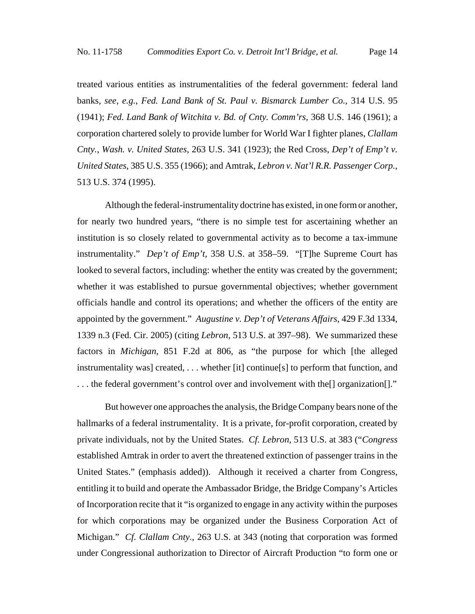treated various entities as instrumentalities of the federal government: federal land banks, *see, e.g.*, *Fed. Land Bank of St. Paul v. Bismarck Lumber Co.*, 314 U.S. 95 (1941); *Fed. Land Bank of Witchita v. Bd. of Cnty. Comm'rs*, 368 U.S. 146 (1961); a corporation chartered solely to provide lumber for World War I fighter planes, *Clallam Cnty., Wash. v. United States*, 263 U.S. 341 (1923); the Red Cross, *Dep't of Emp't v. United States*, 385 U.S. 355 (1966); and Amtrak, *Lebron v. Nat'l R.R. Passenger Corp.*, 513 U.S. 374 (1995).

Although the federal-instrumentality doctrine has existed, in one form or another, for nearly two hundred years, "there is no simple test for ascertaining whether an institution is so closely related to governmental activity as to become a tax-immune instrumentality." *Dep't of Emp't*, 358 U.S. at 358–59. "[T]he Supreme Court has looked to several factors, including: whether the entity was created by the government; whether it was established to pursue governmental objectives; whether government officials handle and control its operations; and whether the officers of the entity are appointed by the government." *Augustine v. Dep't of Veterans Affairs*, 429 F.3d 1334, 1339 n.3 (Fed. Cir. 2005) (citing *Lebron*, 513 U.S. at 397–98). We summarized these factors in *Michigan*, 851 F.2d at 806, as "the purpose for which [the alleged instrumentality was] created, . . . whether [it] continue[s] to perform that function, and ... the federal government's control over and involvement with the<sup>[]</sup> organization<sup>[]</sup>."

But however one approaches the analysis, the Bridge Company bears none of the hallmarks of a federal instrumentality. It is a private, for-profit corporation, created by private individuals, not by the United States. *Cf. Lebron*, 513 U.S. at 383 ("*Congress* established Amtrak in order to avert the threatened extinction of passenger trains in the United States." (emphasis added)). Although it received a charter from Congress, entitling it to build and operate the Ambassador Bridge, the Bridge Company's Articles of Incorporation recite that it "is organized to engage in any activity within the purposes for which corporations may be organized under the Business Corporation Act of Michigan." *Cf. Clallam Cnty.*, 263 U.S. at 343 (noting that corporation was formed under Congressional authorization to Director of Aircraft Production "to form one or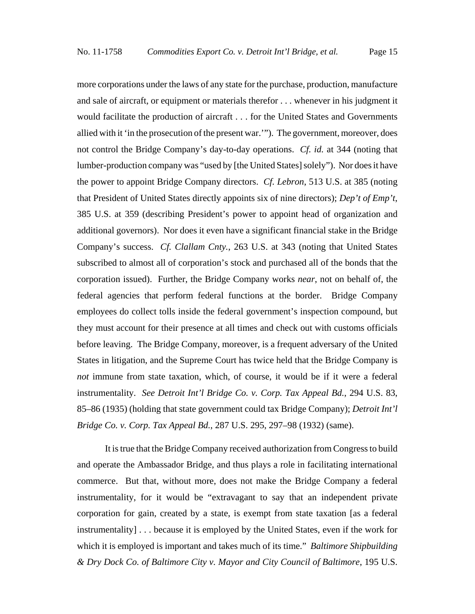more corporations under the laws of any state for the purchase, production, manufacture and sale of aircraft, or equipment or materials therefor . . . whenever in his judgment it would facilitate the production of aircraft . . . for the United States and Governments allied with it 'in the prosecution of the present war.'"). The government, moreover, does not control the Bridge Company's day-to-day operations. *Cf. id.* at 344 (noting that lumber-production company was "used by [the United States] solely"). Nor does it have the power to appoint Bridge Company directors. *Cf. Lebron*, 513 U.S. at 385 (noting that President of United States directly appoints six of nine directors); *Dep't of Emp't*, 385 U.S. at 359 (describing President's power to appoint head of organization and additional governors). Nor does it even have a significant financial stake in the Bridge Company's success. *Cf. Clallam Cnty.*, 263 U.S. at 343 (noting that United States subscribed to almost all of corporation's stock and purchased all of the bonds that the corporation issued). Further, the Bridge Company works *near*, not on behalf of, the federal agencies that perform federal functions at the border. Bridge Company employees do collect tolls inside the federal government's inspection compound, but they must account for their presence at all times and check out with customs officials before leaving. The Bridge Company, moreover, is a frequent adversary of the United States in litigation, and the Supreme Court has twice held that the Bridge Company is *not* immune from state taxation, which, of course, it would be if it were a federal instrumentality. *See Detroit Int'l Bridge Co. v. Corp. Tax Appeal Bd.*, 294 U.S. 83, 85–86 (1935) (holding that state government could tax Bridge Company); *Detroit Int'l Bridge Co. v. Corp. Tax Appeal Bd.*, 287 U.S. 295, 297–98 (1932) (same).

It is true that the Bridge Company received authorization from Congress to build and operate the Ambassador Bridge, and thus plays a role in facilitating international commerce. But that, without more, does not make the Bridge Company a federal instrumentality, for it would be "extravagant to say that an independent private corporation for gain, created by a state, is exempt from state taxation [as a federal instrumentality] . . . because it is employed by the United States, even if the work for which it is employed is important and takes much of its time." *Baltimore Shipbuilding & Dry Dock Co. of Baltimore City v. Mayor and City Council of Baltimore*, 195 U.S.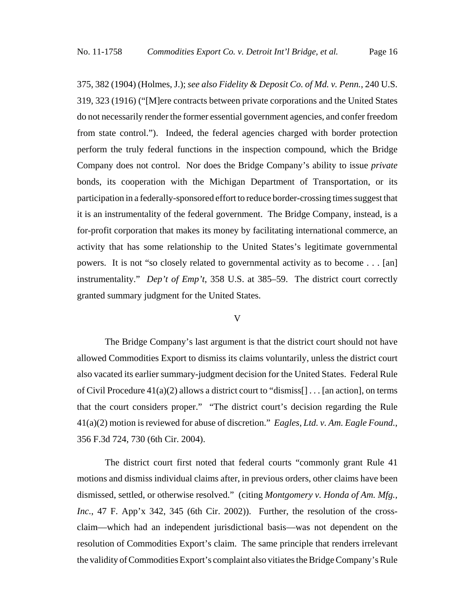375, 382 (1904) (Holmes, J.); *see also Fidelity & Deposit Co. of Md. v. Penn.*, 240 U.S. 319, 323 (1916) ("[M]ere contracts between private corporations and the United States do not necessarily render the former essential government agencies, and confer freedom from state control."). Indeed, the federal agencies charged with border protection perform the truly federal functions in the inspection compound, which the Bridge Company does not control. Nor does the Bridge Company's ability to issue *private* bonds, its cooperation with the Michigan Department of Transportation, or its participation in a federally-sponsored effort to reduce border-crossing times suggest that it is an instrumentality of the federal government. The Bridge Company, instead, is a for-profit corporation that makes its money by facilitating international commerce, an activity that has some relationship to the United States's legitimate governmental powers. It is not "so closely related to governmental activity as to become . . . [an] instrumentality." *Dep't of Emp't*, 358 U.S. at 385–59. The district court correctly granted summary judgment for the United States.

#### V

The Bridge Company's last argument is that the district court should not have allowed Commodities Export to dismiss its claims voluntarily, unless the district court also vacated its earlier summary-judgment decision for the United States. Federal Rule of Civil Procedure  $41(a)(2)$  allows a district court to "dismiss $[] \dots [an action]$ , on terms that the court considers proper." "The district court's decision regarding the Rule 41(a)(2) motion is reviewed for abuse of discretion." *Eagles, Ltd. v. Am. Eagle Found.*, 356 F.3d 724, 730 (6th Cir. 2004).

The district court first noted that federal courts "commonly grant Rule 41 motions and dismiss individual claims after, in previous orders, other claims have been dismissed, settled, or otherwise resolved." (citing *Montgomery v. Honda of Am. Mfg., Inc.*, 47 F. App'x 342, 345 (6th Cir. 2002)). Further, the resolution of the crossclaim—which had an independent jurisdictional basis—was not dependent on the resolution of Commodities Export's claim. The same principle that renders irrelevant the validity of Commodities Export's complaint also vitiates the Bridge Company's Rule